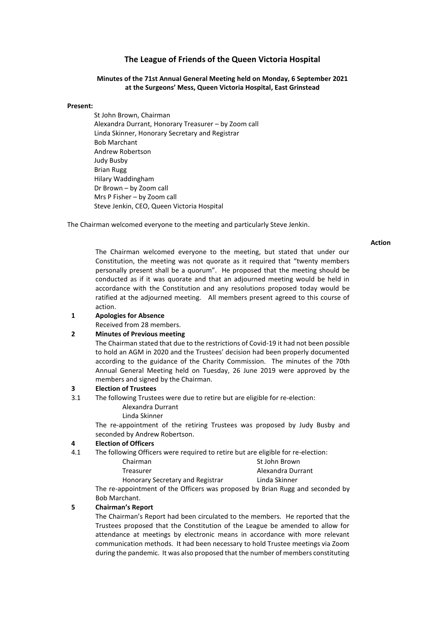# **The League of Friends of the Queen Victoria Hospital**

### **Minutes of the 71st Annual General Meeting held on Monday, 6 September 2021 at the Surgeons' Mess, Queen Victoria Hospital, East Grinstead**

#### **Present:**

St John Brown, Chairman Alexandra Durrant, Honorary Treasurer – by Zoom call Linda Skinner, Honorary Secretary and Registrar Bob Marchant Andrew Robertson Judy Busby Brian Rugg Hilary Waddingham Dr Brown – by Zoom call Mrs P Fisher – by Zoom call Steve Jenkin, CEO, Queen Victoria Hospital

The Chairman welcomed everyone to the meeting and particularly Steve Jenkin.

**Action**

The Chairman welcomed everyone to the meeting, but stated that under our Constitution, the meeting was not quorate as it required that "twenty members personally present shall be a quorum". He proposed that the meeting should be conducted as if it was quorate and that an adjourned meeting would be held in accordance with the Constitution and any resolutions proposed today would be ratified at the adjourned meeting. All members present agreed to this course of action.

- **1 Apologies for Absence**
	- Received from 28 members.

# **2 Minutes of Previous meeting**

The Chairman stated that due to the restrictions of Covid-19 it had not been possible to hold an AGM in 2020 and the Trustees' decision had been properly documented according to the guidance of the Charity Commission. The minutes of the 70th Annual General Meeting held on Tuesday, 26 June 2019 were approved by the members and signed by the Chairman.

### **3 Election of Trustees**

- 3.1 The following Trustees were due to retire but are eligible for re-election:
	- Alexandra Durrant
	- Linda Skinner

The re-appointment of the retiring Trustees was proposed by Judy Busby and seconded by Andrew Robertson.

#### **4 Election of Officers**

4.1 The following Officers were required to retire but are eligible for re-election:

| St John Brown     |
|-------------------|
| Alexandra Durrant |
| Linda Skinner     |
|                   |

The re-appointment of the Officers was proposed by Brian Rugg and seconded by Bob Marchant.

### **5 Chairman's Report**

The Chairman's Report had been circulated to the members. He reported that the Trustees proposed that the Constitution of the League be amended to allow for attendance at meetings by electronic means in accordance with more relevant communication methods. It had been necessary to hold Trustee meetings via Zoom during the pandemic. It was also proposed that the number of members constituting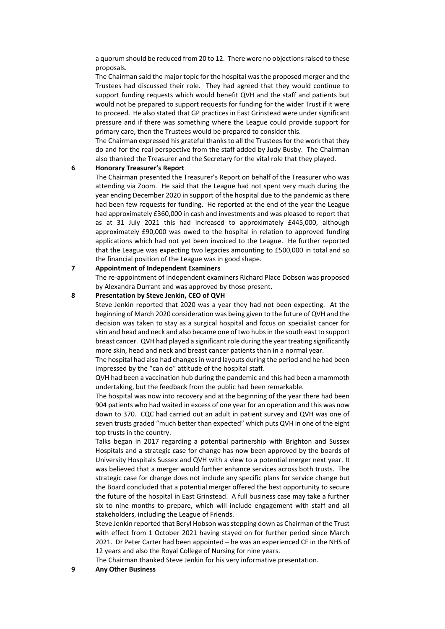a quorum should be reduced from 20 to 12. There were no objections raised to these proposals.

The Chairman said the major topic for the hospital was the proposed merger and the Trustees had discussed their role. They had agreed that they would continue to support funding requests which would benefit QVH and the staff and patients but would not be prepared to support requests for funding for the wider Trust if it were to proceed. He also stated that GP practices in East Grinstead were under significant pressure and if there was something where the League could provide support for primary care, then the Trustees would be prepared to consider this.

The Chairman expressed his grateful thanks to all the Trustees for the work that they do and for the real perspective from the staff added by Judy Busby. The Chairman also thanked the Treasurer and the Secretary for the vital role that they played.

## **6 Honorary Treasurer's Report**

The Chairman presented the Treasurer's Report on behalf of the Treasurer who was attending via Zoom. He said that the League had not spent very much during the year ending December 2020 in support of the hospital due to the pandemic as there had been few requests for funding. He reported at the end of the year the League had approximately £360,000 in cash and investments and was pleased to report that as at 31 July 2021 this had increased to approximately £445,000, although approximately £90,000 was owed to the hospital in relation to approved funding applications which had not yet been invoiced to the League. He further reported that the League was expecting two legacies amounting to £500,000 in total and so the financial position of the League was in good shape.

## **7 Appointment of Independent Examiners**

The re-appointment of independent examiners Richard Place Dobson was proposed by Alexandra Durrant and was approved by those present.

### **8 Presentation by Steve Jenkin, CEO of QVH**

Steve Jenkin reported that 2020 was a year they had not been expecting. At the beginning of March 2020 consideration was being given to the future of QVH and the decision was taken to stay as a surgical hospital and focus on specialist cancer for skin and head and neck and also became one of two hubs in the south east to support breast cancer. QVH had played a significant role during the year treating significantly more skin, head and neck and breast cancer patients than in a normal year.

The hospital had also had changes in ward layouts during the period and he had been impressed by the "can do" attitude of the hospital staff.

QVH had been a vaccination hub during the pandemic and this had been a mammoth undertaking, but the feedback from the public had been remarkable.

The hospital was now into recovery and at the beginning of the year there had been 904 patients who had waited in excess of one year for an operation and this was now down to 370. CQC had carried out an adult in patient survey and QVH was one of seven trusts graded "much better than expected" which puts QVH in one of the eight top trusts in the country.

Talks began in 2017 regarding a potential partnership with Brighton and Sussex Hospitals and a strategic case for change has now been approved by the boards of University Hospitals Sussex and QVH with a view to a potential merger next year. It was believed that a merger would further enhance services across both trusts. The strategic case for change does not include any specific plans for service change but the Board concluded that a potential merger offered the best opportunity to secure the future of the hospital in East Grinstead. A full business case may take a further six to nine months to prepare, which will include engagement with staff and all stakeholders, including the League of Friends.

Steve Jenkin reported that Beryl Hobson was stepping down as Chairman of the Trust with effect from 1 October 2021 having stayed on for further period since March 2021. Dr Peter Carter had been appointed – he was an experienced CE in the NHS of 12 years and also the Royal College of Nursing for nine years.

The Chairman thanked Steve Jenkin for his very informative presentation.

**9 Any Other Business**